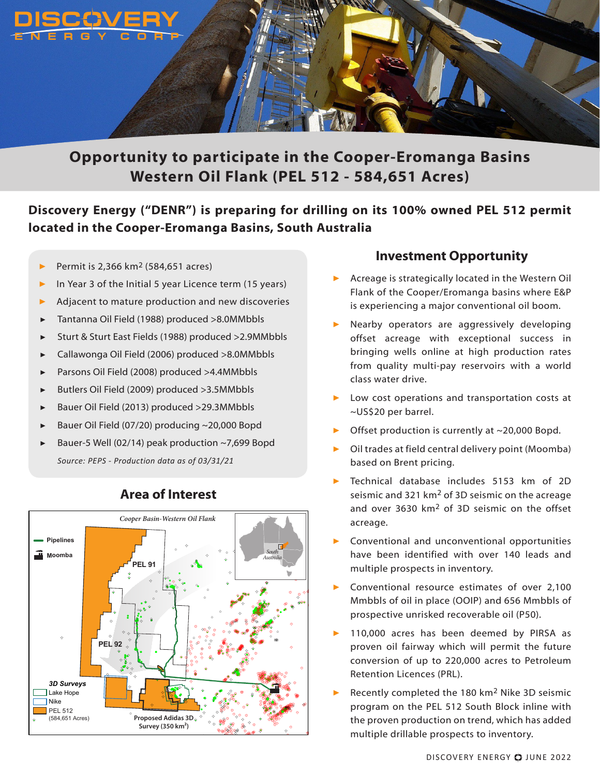

# **Opportunity to participate in the Cooper-Eromanga Basins Western Oil Flank (PEL 512 - 584,651 Acres)**

## **Discovery Energy ("DENR") is preparing for drilling on its 100% owned PEL 512 permit located in the Cooper-Eromanga Basins, South Australia**

- ▶ Permit is 2,366 km2 (584,651 acres)
- In Year 3 of the Initial 5 year Licence term (15 years)
- Adjacent to mature production and new discoveries
- ▶ Tantanna Oil Field (1988) produced >8.0MMbbls
- ▶ Sturt & Sturt East Fields (1988) produced >2.9MMbbls
- ▶ Callawonga Oil Field (2006) produced >8.0MMbbls
- ▶ Parsons Oil Field (2008) produced >4.4MMbbls
- ▶ Butlers Oil Field (2009) produced >3.5MMbbls
- ▶ Bauer Oil Field (2013) produced >29.3MMbbls
- Bauer Oil Field (07/20) producing ~20,000 Bopd
- Bauer-5 Well (02/14) peak production  $\sim$  7,699 Bopd *Source: PEPS - Production data as of 03/31/21*



### **Area of Interest**

#### **Investment Opportunity**

- ▶ Acreage is strategically located in the Western Oil Flank of the Cooper/Eromanga basins where E&P is experiencing a major conventional oil boom.
- Nearby operators are aggressively developing offset acreage with exceptional success in bringing wells online at high production rates from quality multi-pay reservoirs with a world class water drive.
- Low cost operations and transportation costs at ~US\$20 per barrel.
- Offset production is currently at  $\sim$  20,000 Bopd.
- Oil trades at field central delivery point (Moomba) based on Brent pricing.
- Technical database includes 5153 km of 2D seismic and 321  $km<sup>2</sup>$  of 3D seismic on the acreage and over 3630 km<sup>2</sup> of 3D seismic on the offset acreage.
- Conventional and unconventional opportunities have been identified with over 140 leads and multiple prospects in inventory.
- Conventional resource estimates of over 2,100 Mmbbls of oil in place (OOIP) and 656 Mmbbls of prospective unrisked recoverable oil (P50).
- 110,000 acres has been deemed by PIRSA as proven oil fairway which will permit the future conversion of up to 220,000 acres to Petroleum Retention Licences (PRL).
- Recently completed the 180  $km<sup>2</sup>$  Nike 3D seismic program on the PEL 512 South Block inline with the proven production on trend, which has added multiple drillable prospects to inventory.